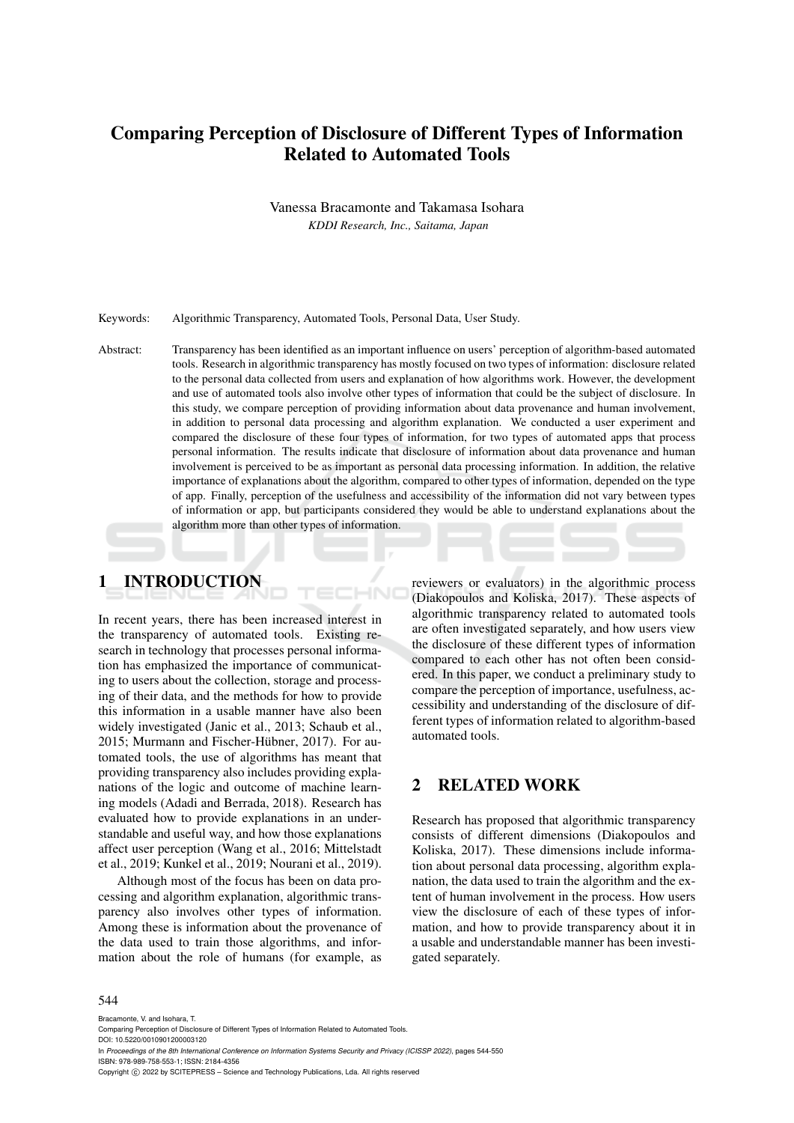# Comparing Perception of Disclosure of Different Types of Information Related to Automated Tools

Vanessa Bracamonte and Takamasa Isohara

*KDDI Research, Inc., Saitama, Japan*

Keywords: Algorithmic Transparency, Automated Tools, Personal Data, User Study.

Abstract: Transparency has been identified as an important influence on users' perception of algorithm-based automated tools. Research in algorithmic transparency has mostly focused on two types of information: disclosure related to the personal data collected from users and explanation of how algorithms work. However, the development and use of automated tools also involve other types of information that could be the subject of disclosure. In this study, we compare perception of providing information about data provenance and human involvement, in addition to personal data processing and algorithm explanation. We conducted a user experiment and compared the disclosure of these four types of information, for two types of automated apps that process personal information. The results indicate that disclosure of information about data provenance and human involvement is perceived to be as important as personal data processing information. In addition, the relative importance of explanations about the algorithm, compared to other types of information, depended on the type of app. Finally, perception of the usefulness and accessibility of the information did not vary between types of information or app, but participants considered they would be able to understand explanations about the algorithm more than other types of information.

1 INTRODUCTION

In recent years, there has been increased interest in the transparency of automated tools. Existing research in technology that processes personal information has emphasized the importance of communicating to users about the collection, storage and processing of their data, and the methods for how to provide this information in a usable manner have also been widely investigated (Janic et al., 2013; Schaub et al., 2015; Murmann and Fischer-Hübner, 2017). For automated tools, the use of algorithms has meant that providing transparency also includes providing explanations of the logic and outcome of machine learning models (Adadi and Berrada, 2018). Research has evaluated how to provide explanations in an understandable and useful way, and how those explanations affect user perception (Wang et al., 2016; Mittelstadt et al., 2019; Kunkel et al., 2019; Nourani et al., 2019).

Although most of the focus has been on data processing and algorithm explanation, algorithmic transparency also involves other types of information. Among these is information about the provenance of the data used to train those algorithms, and information about the role of humans (for example, as

reviewers or evaluators) in the algorithmic process (Diakopoulos and Koliska, 2017). These aspects of algorithmic transparency related to automated tools are often investigated separately, and how users view the disclosure of these different types of information compared to each other has not often been considered. In this paper, we conduct a preliminary study to compare the perception of importance, usefulness, accessibility and understanding of the disclosure of different types of information related to algorithm-based automated tools.

### 2 RELATED WORK

Research has proposed that algorithmic transparency consists of different dimensions (Diakopoulos and Koliska, 2017). These dimensions include information about personal data processing, algorithm explanation, the data used to train the algorithm and the extent of human involvement in the process. How users view the disclosure of each of these types of information, and how to provide transparency about it in a usable and understandable manner has been investigated separately.

#### 544

Bracamonte, V. and Isohara, T. Comparing Perception of Disclosure of Different Types of Information Related to Automated Tools. DOI: 10.5220/0010901200003120 In *Proceedings of the 8th International Conference on Information Systems Security and Privacy (ICISSP 2022)*, pages 544-550 ISBN: 978-989-758-553-1; ISSN: 2184-4356 Copyright (C) 2022 by SCITEPRESS - Science and Technology Publications, Lda. All rights reserved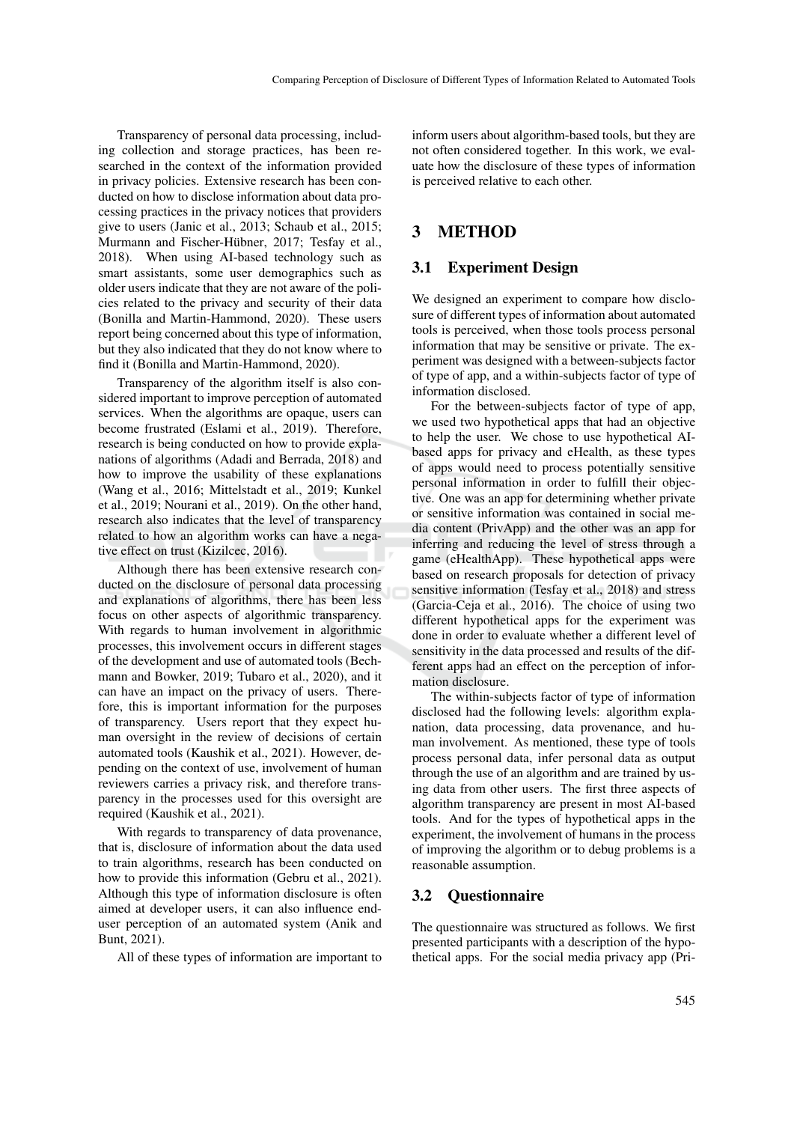Transparency of personal data processing, including collection and storage practices, has been researched in the context of the information provided in privacy policies. Extensive research has been conducted on how to disclose information about data processing practices in the privacy notices that providers give to users (Janic et al., 2013; Schaub et al., 2015; Murmann and Fischer-Hübner, 2017; Tesfay et al., 2018). When using AI-based technology such as smart assistants, some user demographics such as older users indicate that they are not aware of the policies related to the privacy and security of their data (Bonilla and Martin-Hammond, 2020). These users report being concerned about this type of information, but they also indicated that they do not know where to find it (Bonilla and Martin-Hammond, 2020).

Transparency of the algorithm itself is also considered important to improve perception of automated services. When the algorithms are opaque, users can become frustrated (Eslami et al., 2019). Therefore, research is being conducted on how to provide explanations of algorithms (Adadi and Berrada, 2018) and how to improve the usability of these explanations (Wang et al., 2016; Mittelstadt et al., 2019; Kunkel et al., 2019; Nourani et al., 2019). On the other hand, research also indicates that the level of transparency related to how an algorithm works can have a negative effect on trust (Kizilcec, 2016).

Although there has been extensive research conducted on the disclosure of personal data processing and explanations of algorithms, there has been less focus on other aspects of algorithmic transparency. With regards to human involvement in algorithmic processes, this involvement occurs in different stages of the development and use of automated tools (Bechmann and Bowker, 2019; Tubaro et al., 2020), and it can have an impact on the privacy of users. Therefore, this is important information for the purposes of transparency. Users report that they expect human oversight in the review of decisions of certain automated tools (Kaushik et al., 2021). However, depending on the context of use, involvement of human reviewers carries a privacy risk, and therefore transparency in the processes used for this oversight are required (Kaushik et al., 2021).

With regards to transparency of data provenance, that is, disclosure of information about the data used to train algorithms, research has been conducted on how to provide this information (Gebru et al., 2021). Although this type of information disclosure is often aimed at developer users, it can also influence enduser perception of an automated system (Anik and Bunt, 2021).

All of these types of information are important to

inform users about algorithm-based tools, but they are not often considered together. In this work, we evaluate how the disclosure of these types of information is perceived relative to each other.

### 3 METHOD

### 3.1 Experiment Design

We designed an experiment to compare how disclosure of different types of information about automated tools is perceived, when those tools process personal information that may be sensitive or private. The experiment was designed with a between-subjects factor of type of app, and a within-subjects factor of type of information disclosed.

For the between-subjects factor of type of app, we used two hypothetical apps that had an objective to help the user. We chose to use hypothetical AIbased apps for privacy and eHealth, as these types of apps would need to process potentially sensitive personal information in order to fulfill their objective. One was an app for determining whether private or sensitive information was contained in social media content (PrivApp) and the other was an app for inferring and reducing the level of stress through a game (eHealthApp). These hypothetical apps were based on research proposals for detection of privacy sensitive information (Tesfay et al., 2018) and stress (Garcia-Ceja et al., 2016). The choice of using two different hypothetical apps for the experiment was done in order to evaluate whether a different level of sensitivity in the data processed and results of the different apps had an effect on the perception of information disclosure.

The within-subjects factor of type of information disclosed had the following levels: algorithm explanation, data processing, data provenance, and human involvement. As mentioned, these type of tools process personal data, infer personal data as output through the use of an algorithm and are trained by using data from other users. The first three aspects of algorithm transparency are present in most AI-based tools. And for the types of hypothetical apps in the experiment, the involvement of humans in the process of improving the algorithm or to debug problems is a reasonable assumption.

### 3.2 Questionnaire

The questionnaire was structured as follows. We first presented participants with a description of the hypothetical apps. For the social media privacy app (Pri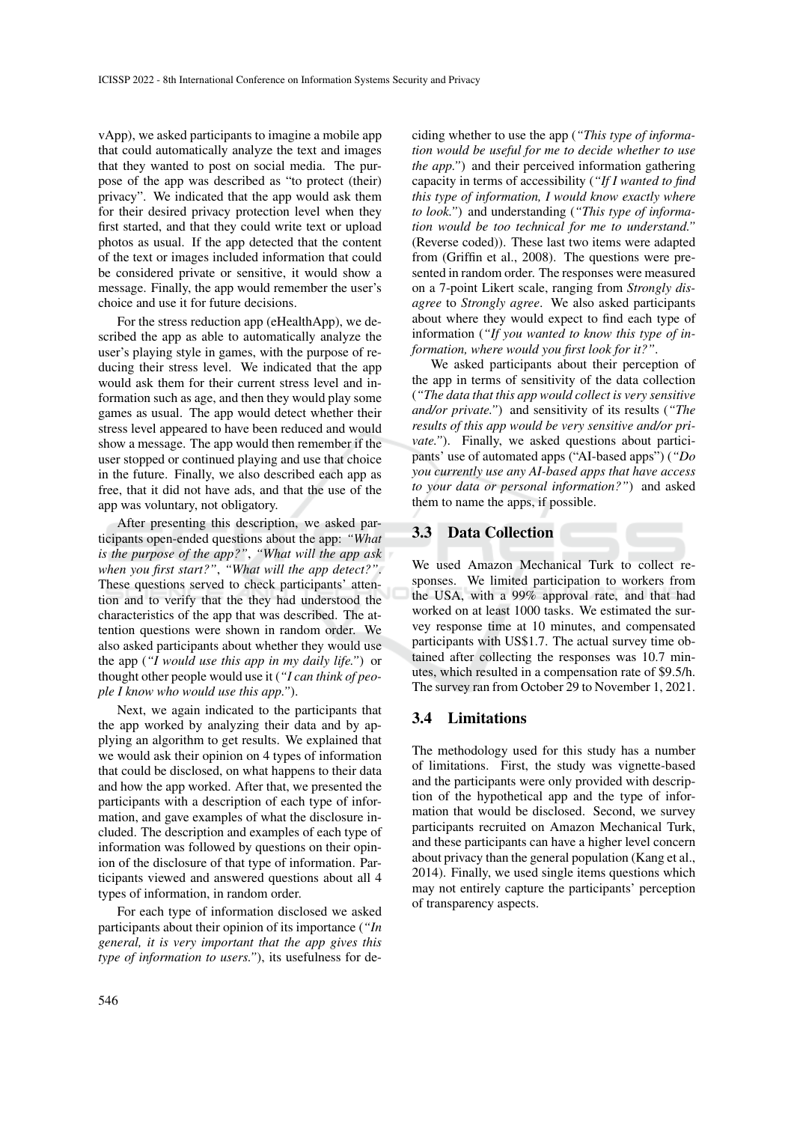vApp), we asked participants to imagine a mobile app that could automatically analyze the text and images that they wanted to post on social media. The purpose of the app was described as "to protect (their) privacy". We indicated that the app would ask them for their desired privacy protection level when they first started, and that they could write text or upload photos as usual. If the app detected that the content of the text or images included information that could be considered private or sensitive, it would show a message. Finally, the app would remember the user's choice and use it for future decisions.

For the stress reduction app (eHealthApp), we described the app as able to automatically analyze the user's playing style in games, with the purpose of reducing their stress level. We indicated that the app would ask them for their current stress level and information such as age, and then they would play some games as usual. The app would detect whether their stress level appeared to have been reduced and would show a message. The app would then remember if the user stopped or continued playing and use that choice in the future. Finally, we also described each app as free, that it did not have ads, and that the use of the app was voluntary, not obligatory.

After presenting this description, we asked participants open-ended questions about the app: *"What is the purpose of the app?"*, *"What will the app ask when you first start?"*, *"What will the app detect?"*. These questions served to check participants' attention and to verify that the they had understood the characteristics of the app that was described. The attention questions were shown in random order. We also asked participants about whether they would use the app (*"I would use this app in my daily life."*) or thought other people would use it (*"I can think of people I know who would use this app."*).

Next, we again indicated to the participants that the app worked by analyzing their data and by applying an algorithm to get results. We explained that we would ask their opinion on 4 types of information that could be disclosed, on what happens to their data and how the app worked. After that, we presented the participants with a description of each type of information, and gave examples of what the disclosure included. The description and examples of each type of information was followed by questions on their opinion of the disclosure of that type of information. Participants viewed and answered questions about all 4 types of information, in random order.

For each type of information disclosed we asked participants about their opinion of its importance (*"In general, it is very important that the app gives this type of information to users."*), its usefulness for deciding whether to use the app (*"This type of information would be useful for me to decide whether to use the app."*) and their perceived information gathering capacity in terms of accessibility (*"If I wanted to find this type of information, I would know exactly where to look."*) and understanding (*"This type of information would be too technical for me to understand."* (Reverse coded)). These last two items were adapted from (Griffin et al., 2008). The questions were presented in random order. The responses were measured on a 7-point Likert scale, ranging from *Strongly disagree* to *Strongly agree*. We also asked participants about where they would expect to find each type of information (*"If you wanted to know this type of information, where would you first look for it?"*.

We asked participants about their perception of the app in terms of sensitivity of the data collection (*"The data that this app would collect is very sensitive and/or private."*) and sensitivity of its results (*"The results of this app would be very sensitive and/or private."*). Finally, we asked questions about participants' use of automated apps ("AI-based apps") (*"Do you currently use any AI-based apps that have access to your data or personal information?"*) and asked them to name the apps, if possible.

#### 3.3 Data Collection

We used Amazon Mechanical Turk to collect responses. We limited participation to workers from the USA, with a 99% approval rate, and that had worked on at least 1000 tasks. We estimated the survey response time at 10 minutes, and compensated participants with US\$1.7. The actual survey time obtained after collecting the responses was 10.7 minutes, which resulted in a compensation rate of \$9.5/h. The survey ran from October 29 to November 1, 2021.

#### 3.4 Limitations

The methodology used for this study has a number of limitations. First, the study was vignette-based and the participants were only provided with description of the hypothetical app and the type of information that would be disclosed. Second, we survey participants recruited on Amazon Mechanical Turk, and these participants can have a higher level concern about privacy than the general population (Kang et al., 2014). Finally, we used single items questions which may not entirely capture the participants' perception of transparency aspects.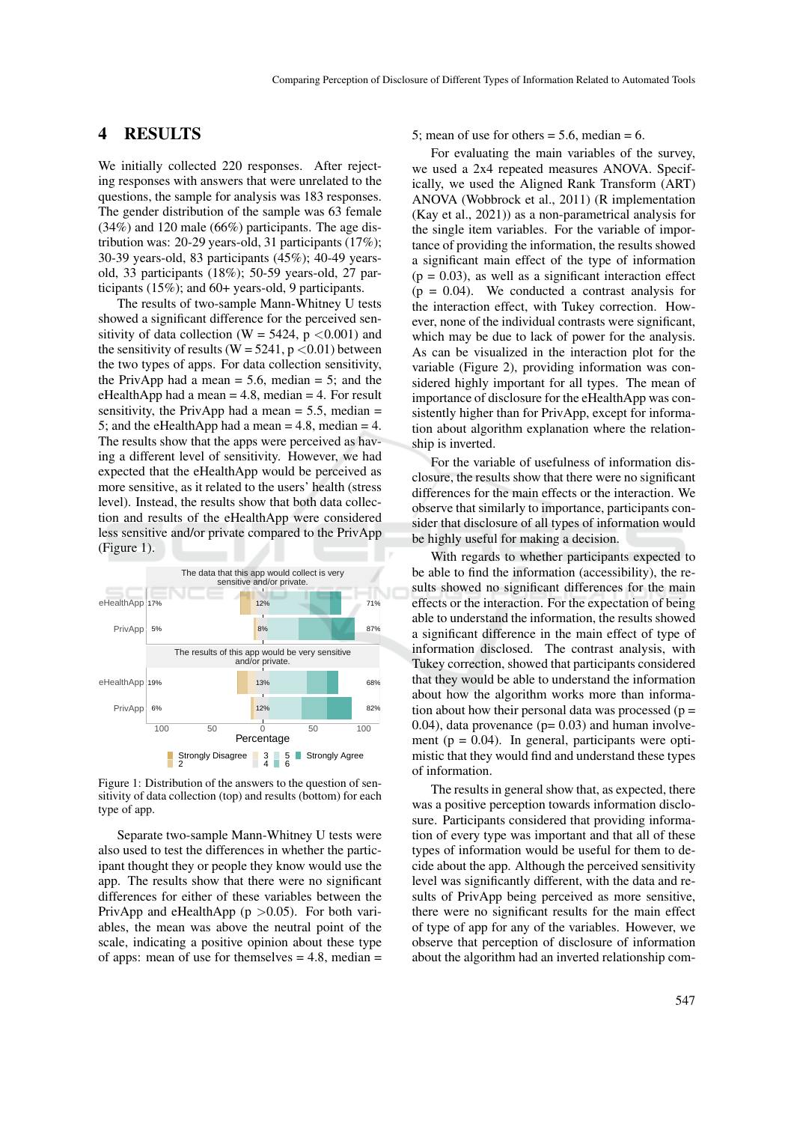### 4 RESULTS

We initially collected 220 responses. After rejecting responses with answers that were unrelated to the questions, the sample for analysis was 183 responses. The gender distribution of the sample was 63 female (34%) and 120 male (66%) participants. The age distribution was: 20-29 years-old, 31 participants (17%); 30-39 years-old, 83 participants (45%); 40-49 yearsold, 33 participants (18%); 50-59 years-old, 27 participants (15%); and 60+ years-old, 9 participants.

The results of two-sample Mann-Whitney U tests showed a significant difference for the perceived sensitivity of data collection (W = 5424,  $p \lt 0.001$ ) and the sensitivity of results ( $W = 5241$ ,  $p < 0.01$ ) between the two types of apps. For data collection sensitivity, the PrivApp had a mean  $= 5.6$ , median  $= 5$ ; and the eHealthApp had a mean  $= 4.8$ , median  $= 4$ . For result sensitivity, the PrivApp had a mean  $= 5.5$ , median  $=$ 5; and the eHealthApp had a mean  $= 4.8$ , median  $= 4$ . The results show that the apps were perceived as having a different level of sensitivity. However, we had expected that the eHealthApp would be perceived as more sensitive, as it related to the users' health (stress level). Instead, the results show that both data collection and results of the eHealthApp were considered less sensitive and/or private compared to the PrivApp (Figure 1).



Figure 1: Distribution of the answers to the question of sensitivity of data collection (top) and results (bottom) for each type of app.

Separate two-sample Mann-Whitney U tests were also used to test the differences in whether the participant thought they or people they know would use the app. The results show that there were no significant differences for either of these variables between the PrivApp and eHealthApp ( $p > 0.05$ ). For both variables, the mean was above the neutral point of the scale, indicating a positive opinion about these type of apps: mean of use for themselves  $= 4.8$ , median  $=$  5; mean of use for others  $= 5.6$ , median  $= 6$ .

For evaluating the main variables of the survey, we used a 2x4 repeated measures ANOVA. Specifically, we used the Aligned Rank Transform (ART) ANOVA (Wobbrock et al., 2011) (R implementation (Kay et al., 2021)) as a non-parametrical analysis for the single item variables. For the variable of importance of providing the information, the results showed a significant main effect of the type of information  $(p = 0.03)$ , as well as a significant interaction effect  $(p = 0.04)$ . We conducted a contrast analysis for the interaction effect, with Tukey correction. However, none of the individual contrasts were significant, which may be due to lack of power for the analysis. As can be visualized in the interaction plot for the variable (Figure 2), providing information was considered highly important for all types. The mean of importance of disclosure for the eHealthApp was consistently higher than for PrivApp, except for information about algorithm explanation where the relationship is inverted.

For the variable of usefulness of information disclosure, the results show that there were no significant differences for the main effects or the interaction. We observe that similarly to importance, participants consider that disclosure of all types of information would be highly useful for making a decision.

With regards to whether participants expected to be able to find the information (accessibility), the results showed no significant differences for the main effects or the interaction. For the expectation of being able to understand the information, the results showed a significant difference in the main effect of type of information disclosed. The contrast analysis, with Tukey correction, showed that participants considered that they would be able to understand the information about how the algorithm works more than information about how their personal data was processed ( $p =$  $(0.04)$ , data provenance  $(p= 0.03)$  and human involvement ( $p = 0.04$ ). In general, participants were optimistic that they would find and understand these types of information.

The results in general show that, as expected, there was a positive perception towards information disclosure. Participants considered that providing information of every type was important and that all of these types of information would be useful for them to decide about the app. Although the perceived sensitivity level was significantly different, with the data and results of PrivApp being perceived as more sensitive, there were no significant results for the main effect of type of app for any of the variables. However, we observe that perception of disclosure of information about the algorithm had an inverted relationship com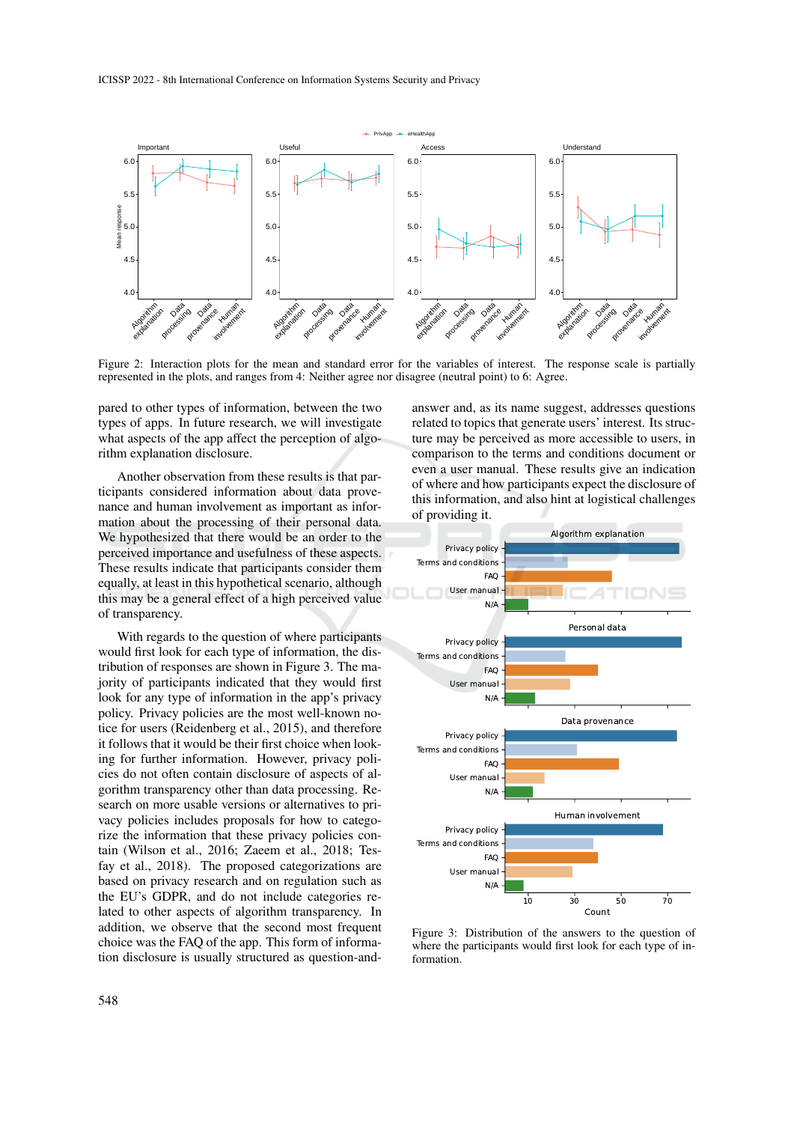ICISSP 2022 - 8th International Conference on Information Systems Security and Privacy



Figure 2: Interaction plots for the mean and standard error for the variables of interest. The response scale is partially represented in the plots, and ranges from 4: Neither agree nor disagree (neutral point) to 6: Agree.

pared to other types of information, between the two types of apps. In future research, we will investigate what aspects of the app affect the perception of algorithm explanation disclosure.

Another observation from these results is that participants considered information about data provenance and human involvement as important as information about the processing of their personal data. We hypothesized that there would be an order to the perceived importance and usefulness of these aspects. These results indicate that participants consider them equally, at least in this hypothetical scenario, although this may be a general effect of a high perceived value of transparency.

With regards to the question of where participants would first look for each type of information, the distribution of responses are shown in Figure 3. The majority of participants indicated that they would first look for any type of information in the app's privacy policy. Privacy policies are the most well-known notice for users (Reidenberg et al., 2015), and therefore it follows that it would be their first choice when looking for further information. However, privacy policies do not often contain disclosure of aspects of algorithm transparency other than data processing. Research on more usable versions or alternatives to privacy policies includes proposals for how to categorize the information that these privacy policies contain (Wilson et al., 2016; Zaeem et al., 2018; Tesfay et al., 2018). The proposed categorizations are based on privacy research and on regulation such as the EU's GDPR, and do not include categories related to other aspects of algorithm transparency. In addition, we observe that the second most frequent choice was the FAQ of the app. This form of information disclosure is usually structured as question-and-

answer and, as its name suggest, addresses questions related to topics that generate users' interest. Its structure may be perceived as more accessible to users, in comparison to the terms and conditions document or even a user manual. These results give an indication of where and how participants expect the disclosure of this information, and also hint at logistical challenges of providing it.



Figure 3: Distribution of the answers to the question of where the participants would first look for each type of information.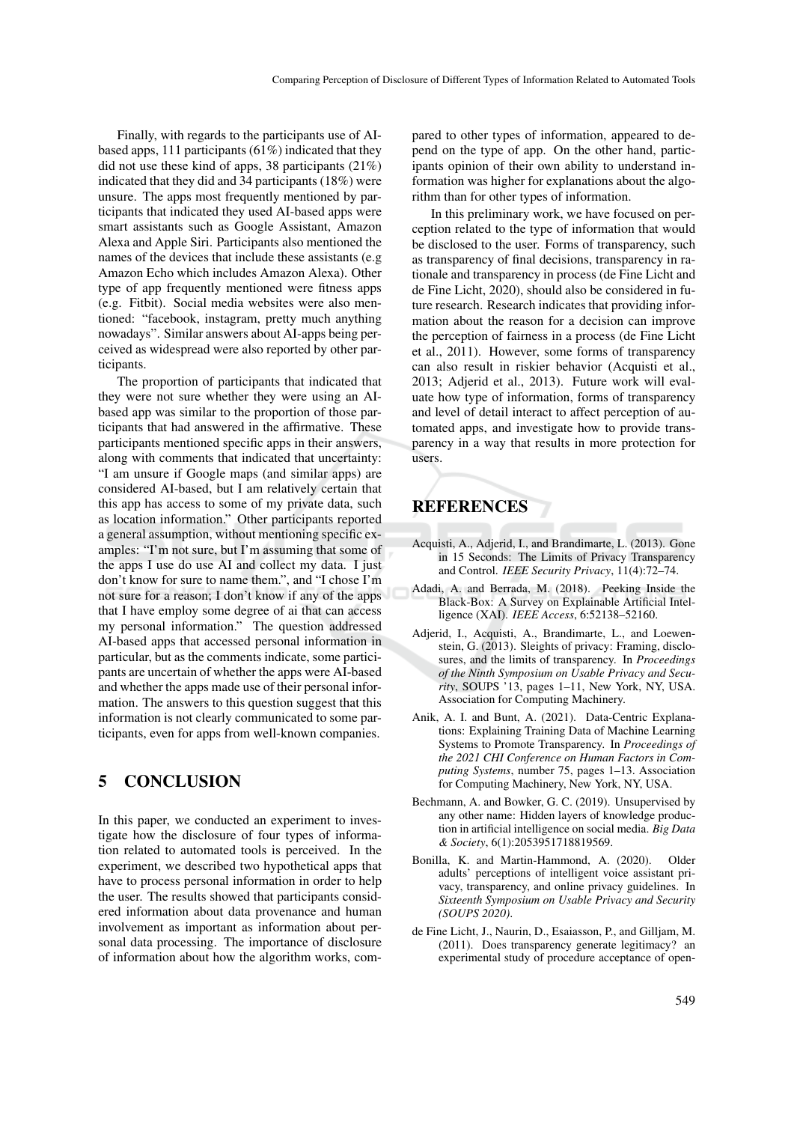Finally, with regards to the participants use of AIbased apps, 111 participants (61%) indicated that they did not use these kind of apps, 38 participants (21%) indicated that they did and 34 participants (18%) were unsure. The apps most frequently mentioned by participants that indicated they used AI-based apps were smart assistants such as Google Assistant, Amazon Alexa and Apple Siri. Participants also mentioned the names of the devices that include these assistants (e.g Amazon Echo which includes Amazon Alexa). Other type of app frequently mentioned were fitness apps (e.g. Fitbit). Social media websites were also mentioned: "facebook, instagram, pretty much anything nowadays". Similar answers about AI-apps being perceived as widespread were also reported by other participants.

The proportion of participants that indicated that they were not sure whether they were using an AIbased app was similar to the proportion of those participants that had answered in the affirmative. These participants mentioned specific apps in their answers, along with comments that indicated that uncertainty: "I am unsure if Google maps (and similar apps) are considered AI-based, but I am relatively certain that this app has access to some of my private data, such as location information." Other participants reported a general assumption, without mentioning specific examples: "I'm not sure, but I'm assuming that some of the apps I use do use AI and collect my data. I just don't know for sure to name them.", and "I chose I'm not sure for a reason; I don't know if any of the apps that I have employ some degree of ai that can access my personal information." The question addressed AI-based apps that accessed personal information in particular, but as the comments indicate, some participants are uncertain of whether the apps were AI-based and whether the apps made use of their personal information. The answers to this question suggest that this information is not clearly communicated to some participants, even for apps from well-known companies.

### 5 CONCLUSION

In this paper, we conducted an experiment to investigate how the disclosure of four types of information related to automated tools is perceived. In the experiment, we described two hypothetical apps that have to process personal information in order to help the user. The results showed that participants considered information about data provenance and human involvement as important as information about personal data processing. The importance of disclosure of information about how the algorithm works, com-

pared to other types of information, appeared to depend on the type of app. On the other hand, participants opinion of their own ability to understand information was higher for explanations about the algorithm than for other types of information.

In this preliminary work, we have focused on perception related to the type of information that would be disclosed to the user. Forms of transparency, such as transparency of final decisions, transparency in rationale and transparency in process (de Fine Licht and de Fine Licht, 2020), should also be considered in future research. Research indicates that providing information about the reason for a decision can improve the perception of fairness in a process (de Fine Licht et al., 2011). However, some forms of transparency can also result in riskier behavior (Acquisti et al., 2013; Adjerid et al., 2013). Future work will evaluate how type of information, forms of transparency and level of detail interact to affect perception of automated apps, and investigate how to provide transparency in a way that results in more protection for users.

## **REFERENCES**

- Acquisti, A., Adjerid, I., and Brandimarte, L. (2013). Gone in 15 Seconds: The Limits of Privacy Transparency and Control. *IEEE Security Privacy*, 11(4):72–74.
- Adadi, A. and Berrada, M. (2018). Peeking Inside the Black-Box: A Survey on Explainable Artificial Intelligence (XAI). *IEEE Access*, 6:52138–52160.
- Adjerid, I., Acquisti, A., Brandimarte, L., and Loewenstein, G. (2013). Sleights of privacy: Framing, disclosures, and the limits of transparency. In *Proceedings of the Ninth Symposium on Usable Privacy and Security*, SOUPS '13, pages 1–11, New York, NY, USA. Association for Computing Machinery.
- Anik, A. I. and Bunt, A. (2021). Data-Centric Explanations: Explaining Training Data of Machine Learning Systems to Promote Transparency. In *Proceedings of the 2021 CHI Conference on Human Factors in Computing Systems*, number 75, pages 1–13. Association for Computing Machinery, New York, NY, USA.
- Bechmann, A. and Bowker, G. C. (2019). Unsupervised by any other name: Hidden layers of knowledge production in artificial intelligence on social media. *Big Data & Society*, 6(1):2053951718819569.
- Bonilla, K. and Martin-Hammond, A. (2020). Older adults' perceptions of intelligent voice assistant privacy, transparency, and online privacy guidelines. In *Sixteenth Symposium on Usable Privacy and Security (SOUPS 2020)*.
- de Fine Licht, J., Naurin, D., Esaiasson, P., and Gilljam, M. (2011). Does transparency generate legitimacy? an experimental study of procedure acceptance of open-